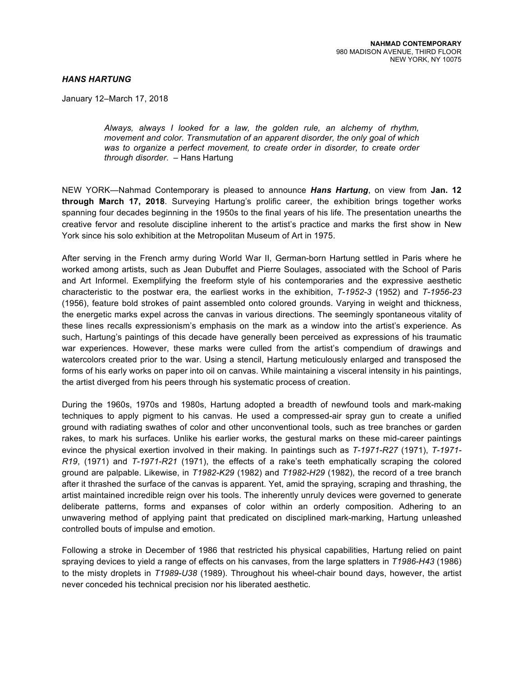## *HANS HARTUNG*

January 12–March 17, 2018

*Always, always I looked for a law, the golden rule, an alchemy of rhythm, movement and color. Transmutation of an apparent disorder, the only goal of which was to organize a perfect movement, to create order in disorder, to create order through disorder*. – Hans Hartung

NEW YORK—Nahmad Contemporary is pleased to announce *Hans Hartung*, on view from **Jan. 12 through March 17, 2018**. Surveying Hartung's prolific career, the exhibition brings together works spanning four decades beginning in the 1950s to the final years of his life. The presentation unearths the creative fervor and resolute discipline inherent to the artist's practice and marks the first show in New York since his solo exhibition at the Metropolitan Museum of Art in 1975.

After serving in the French army during World War II, German-born Hartung settled in Paris where he worked among artists, such as Jean Dubuffet and Pierre Soulages, associated with the School of Paris and Art Informel. Exemplifying the freeform style of his contemporaries and the expressive aesthetic characteristic to the postwar era, the earliest works in the exhibition, *T-1952-3* (1952) and *T-1956-23* (1956), feature bold strokes of paint assembled onto colored grounds. Varying in weight and thickness, the energetic marks expel across the canvas in various directions. The seemingly spontaneous vitality of these lines recalls expressionism's emphasis on the mark as a window into the artist's experience. As such, Hartung's paintings of this decade have generally been perceived as expressions of his traumatic war experiences. However, these marks were culled from the artist's compendium of drawings and watercolors created prior to the war. Using a stencil, Hartung meticulously enlarged and transposed the forms of his early works on paper into oil on canvas. While maintaining a visceral intensity in his paintings, the artist diverged from his peers through his systematic process of creation.

During the 1960s, 1970s and 1980s, Hartung adopted a breadth of newfound tools and mark-making techniques to apply pigment to his canvas. He used a compressed-air spray gun to create a unified ground with radiating swathes of color and other unconventional tools, such as tree branches or garden rakes, to mark his surfaces. Unlike his earlier works, the gestural marks on these mid-career paintings evince the physical exertion involved in their making. In paintings such as *T-1971-R27* (1971), *T-1971- R19*, (1971) and *T-1971-R21* (1971), the effects of a rake's teeth emphatically scraping the colored ground are palpable. Likewise, in *T1982-K29* (1982) and *T1982-H29* (1982), the record of a tree branch after it thrashed the surface of the canvas is apparent. Yet, amid the spraying, scraping and thrashing, the artist maintained incredible reign over his tools. The inherently unruly devices were governed to generate deliberate patterns, forms and expanses of color within an orderly composition. Adhering to an unwavering method of applying paint that predicated on disciplined mark-marking, Hartung unleashed controlled bouts of impulse and emotion.

Following a stroke in December of 1986 that restricted his physical capabilities, Hartung relied on paint spraying devices to yield a range of effects on his canvases, from the large splatters in *T1986-H43* (1986) to the misty droplets in *T1989-U38* (1989). Throughout his wheel-chair bound days, however, the artist never conceded his technical precision nor his liberated aesthetic.